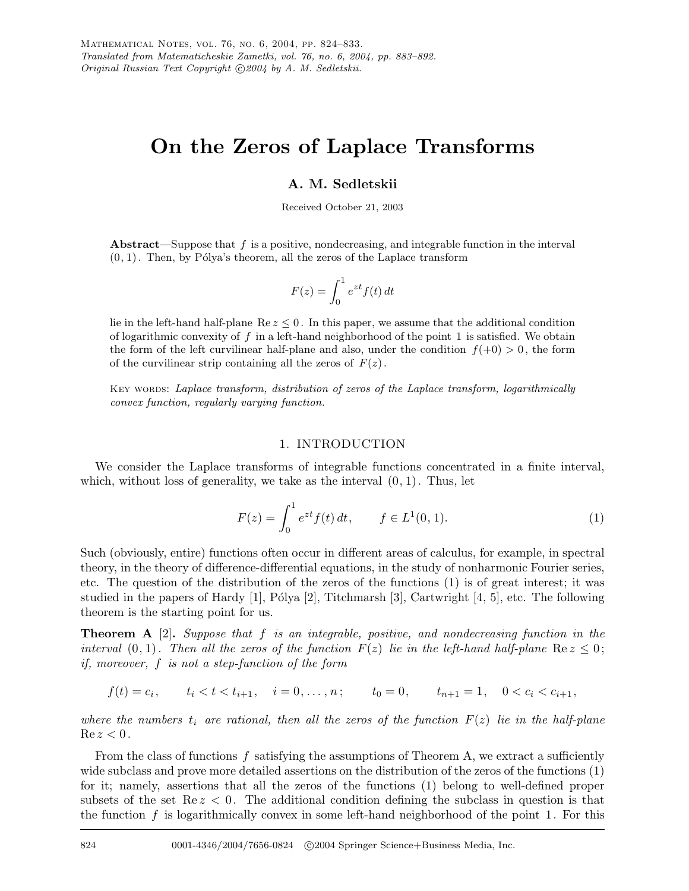# **On the Zeros of Laplace Transforms**

# **A. M. Sedletskii**

Received October 21, 2003

**Abstract**—Suppose that *f* is a positive, nondecreasing, and integrable function in the interval  $(0, 1)$ . Then, by Pólya's theorem, all the zeros of the Laplace transform

$$
F(z) = \int_0^1 e^{zt} f(t) dt
$$

lie in the left-hand half-plane  $\text{Re } z \leq 0$ . In this paper, we assume that the additional condition of logarithmic convexity of *f* in a left-hand neighborhood of the point 1 is satisfied. We obtain the form of the left curvilinear half-plane and also, under the condition  $f(+0) > 0$ , the form of the curvilinear strip containing all the zeros of  $F(z)$ .

Key words: *Laplace transform, distribution of zeros of the Laplace transform, logarithmically convex function, regularly varying function.*

## 1. INTRODUCTION

We consider the Laplace transforms of integrable functions concentrated in a finite interval, which, without loss of generality, we take as the interval  $(0, 1)$ . Thus, let

$$
F(z) = \int_0^1 e^{zt} f(t) dt, \qquad f \in L^1(0, 1).
$$
 (1)

Such (obviously, entire) functions often occur in different areas of calculus, for example, in spectral theory, in the theory of difference-differential equations, in the study of nonharmonic Fourier series, etc. The question of the distribution of the zeros of the functions (1) is of great interest; it was studied in the papers of Hardy [1], Pólya [2], Titchmarsh [3], Cartwright [4, 5], etc. The following theorem is the starting point for us.

**Theorem A** [2]**.** *Suppose that* f *is an integrable, positive, and nondecreasing function in the interval*  $(0, 1)$ *. Then all the zeros of the function*  $F(z)$  *lie in the left-hand half-plane*  $\text{Re } z \leq 0$ ; *if, moreover,* f *is not a step-function of the form*

 $f(t) = c_i,$   $t_i < t < t_{i+1},$   $i = 0, ..., n;$   $t_0 = 0,$   $t_{n+1} = 1,$   $0 < c_i < c_{i+1},$ 

*where the numbers*  $t_i$  *are rational, then all the zeros of the function*  $F(z)$  *lie in the half-plane*  $Re z < 0$ .

From the class of functions  $f$  satisfying the assumptions of Theorem A, we extract a sufficiently wide subclass and prove more detailed assertions on the distribution of the zeros of the functions (1) for it; namely, assertions that all the zeros of the functions (1) belong to well-defined proper subsets of the set  $\text{Re } z < 0$ . The additional condition defining the subclass in question is that the function  $f$  is logarithmically convex in some left-hand neighborhood of the point 1. For this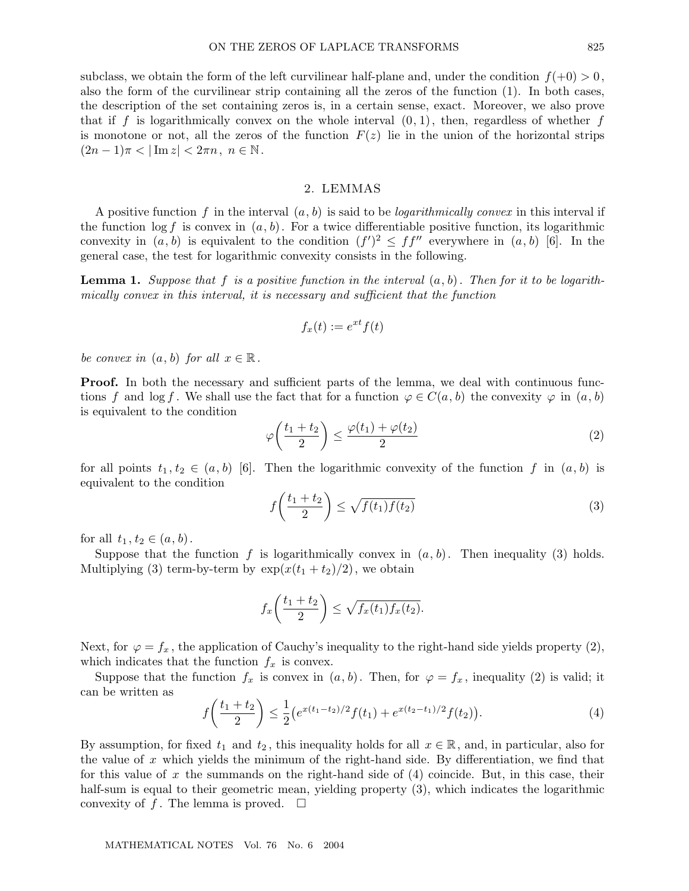subclass, we obtain the form of the left curvilinear half-plane and, under the condition  $f(+0) > 0$ . also the form of the curvilinear strip containing all the zeros of the function (1). In both cases, the description of the set containing zeros is, in a certain sense, exact. Moreover, we also prove that if f is logarithmically convex on the whole interval  $(0, 1)$ , then, regardless of whether f is monotone or not, all the zeros of the function  $F(z)$  lie in the union of the horizontal strips  $(2n-1)\pi < |\text{Im } z| < 2\pi n, n \in \mathbb{N}.$ 

## 2. LEMMAS

A positive function f in the interval (a, b) is said to be *logarithmically convex* in this interval if the function  $\log f$  is convex in  $(a, b)$ . For a twice differentiable positive function, its logarithmic convexity in  $(a, b)$  is equivalent to the condition  $(f')^2 \leq ff''$  everywhere in  $(a, b)$  [6]. In the general case, the test for logarithmic convexity consists in the following.

**Lemma 1.** *Suppose that* f *is a positive function in the interval* (a, b)*. Then for it to be logarithmically convex in this interval, it is necessary and sufficient that the function*

$$
f_x(t) := e^{xt} f(t)
$$

*be convex in*  $(a, b)$  *for all*  $x \in \mathbb{R}$ .

**Proof.** In both the necessary and sufficient parts of the lemma, we deal with continuous functions f and log f. We shall use the fact that for a function  $\varphi \in C(a, b)$  the convexity  $\varphi$  in  $(a, b)$ is equivalent to the condition

$$
\varphi\left(\frac{t_1+t_2}{2}\right) \le \frac{\varphi(t_1)+\varphi(t_2)}{2} \tag{2}
$$

for all points  $t_1, t_2 \in (a, b)$  [6]. Then the logarithmic convexity of the function f in  $(a, b)$  is equivalent to the condition

$$
f\left(\frac{t_1+t_2}{2}\right) \le \sqrt{f(t_1)f(t_2)}\tag{3}
$$

for all  $t_1, t_2 \in (a, b)$ .

Suppose that the function f is logarithmically convex in  $(a, b)$ . Then inequality (3) holds. Multiplying (3) term-by-term by  $\exp(x(t_1 + t_2)/2)$ , we obtain

$$
f_x\left(\frac{t_1+t_2}{2}\right) \leq \sqrt{f_x(t_1)f_x(t_2)}.
$$

Next, for  $\varphi = f_x$ , the application of Cauchy's inequality to the right-hand side yields property (2), which indicates that the function  $f_x$  is convex.

Suppose that the function  $f_x$  is convex in  $(a, b)$ . Then, for  $\varphi = f_x$ , inequality (2) is valid; it can be written as

$$
f\left(\frac{t_1+t_2}{2}\right) \le \frac{1}{2} \left(e^{x(t_1-t_2)/2} f(t_1) + e^{x(t_2-t_1)/2} f(t_2)\right).
$$
 (4)

By assumption, for fixed  $t_1$  and  $t_2$ , this inequality holds for all  $x \in \mathbb{R}$ , and, in particular, also for the value of x which yields the minimum of the right-hand side. By differentiation, we find that for this value of x the summands on the right-hand side of  $(4)$  coincide. But, in this case, their half-sum is equal to their geometric mean, yielding property  $(3)$ , which indicates the logarithmic convexity of f. The lemma is proved.  $\square$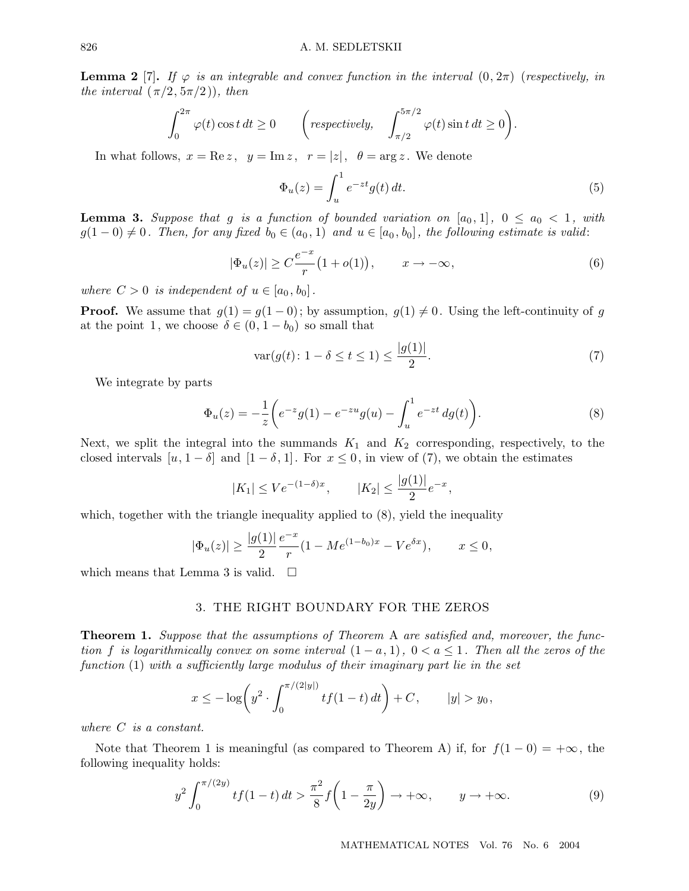**Lemma 2** [7]. If  $\varphi$  is an integrable and convex function in the interval  $(0, 2\pi)$  (respectively, in *the interval*  $(\pi/2, 5\pi/2)$ *), then* 

$$
\int_0^{2\pi} \varphi(t) \cos t \, dt \ge 0 \qquad \left( \text{respectively,} \quad \int_{\pi/2}^{5\pi/2} \varphi(t) \sin t \, dt \ge 0 \right).
$$

In what follows,  $x = \text{Re } z$ ,  $y = \text{Im } z$ ,  $r = |z|$ ,  $\theta = \arg z$ . We denote

$$
\Phi_u(z) = \int_u^1 e^{-zt} g(t) dt.
$$
\n(5)

**Lemma 3.** Suppose that g is a function of bounded variation on  $[a_0, 1]$ ,  $0 \le a_0 < 1$ , with  $g(1-0) \neq 0$ . Then, for any fixed  $b_0 \in (a_0, 1)$  and  $u \in [a_0, b_0]$ , the following estimate is valid:

$$
|\Phi_u(z)| \ge C\frac{e^{-x}}{r} \big(1 + o(1)\big), \qquad x \to -\infty,
$$
\n(6)

*where*  $C > 0$  *is independent of*  $u \in [a_0, b_0]$ .

**Proof.** We assume that  $g(1) = g(1 - 0)$ ; by assumption,  $g(1) \neq 0$ . Using the left-continuity of g at the point 1, we choose  $\delta \in (0, 1 - b_0)$  so small that

$$
\text{var}(g(t): 1 - \delta \le t \le 1) \le \frac{|g(1)|}{2}.\tag{7}
$$

We integrate by parts

$$
\Phi_u(z) = -\frac{1}{z} \left( e^{-z} g(1) - e^{-zu} g(u) - \int_u^1 e^{-zt} \, dg(t) \right). \tag{8}
$$

Next, we split the integral into the summands  $K_1$  and  $K_2$  corresponding, respectively, to the closed intervals  $[u, 1-\delta]$  and  $[1-\delta, 1]$ . For  $x \leq 0$ , in view of (7), we obtain the estimates

$$
|K_1| \leq V e^{-(1-\delta)x}
$$
,  $|K_2| \leq \frac{|g(1)|}{2} e^{-x}$ ,

which, together with the triangle inequality applied to  $(8)$ , yield the inequality

$$
|\Phi_u(z)| \ge \frac{|g(1)|}{2} \frac{e^{-x}}{r} (1 - Me^{(1-b_0)x} - Ve^{\delta x}), \qquad x \le 0,
$$

which means that Lemma 3 is valid.  $\square$ 

# 3. THE RIGHT BOUNDARY FOR THE ZEROS

**Theorem 1.** *Suppose that the assumptions of Theorem* A *are satisfied and, moreover, the function* f *is logarithmically convex on some interval*  $(1 - a, 1)$ ,  $0 < a \leq 1$ . Then all the zeros of the *function* (1) *with a sufficiently large modulus of their imaginary part lie in the set*

$$
x \le -\log\left(y^2 \cdot \int_0^{\pi/(2|y|)} tf(1-t) dt\right) + C, \qquad |y| > y_0,
$$

*where* C *is a constant.*

Note that Theorem 1 is meaningful (as compared to Theorem A) if, for  $f(1-0) = +\infty$ , the following inequality holds:

$$
y^{2} \int_{0}^{\pi/(2y)} t f(1-t) dt > \frac{\pi^{2}}{8} f\left(1 - \frac{\pi}{2y}\right) \to +\infty, \qquad y \to +\infty.
$$
 (9)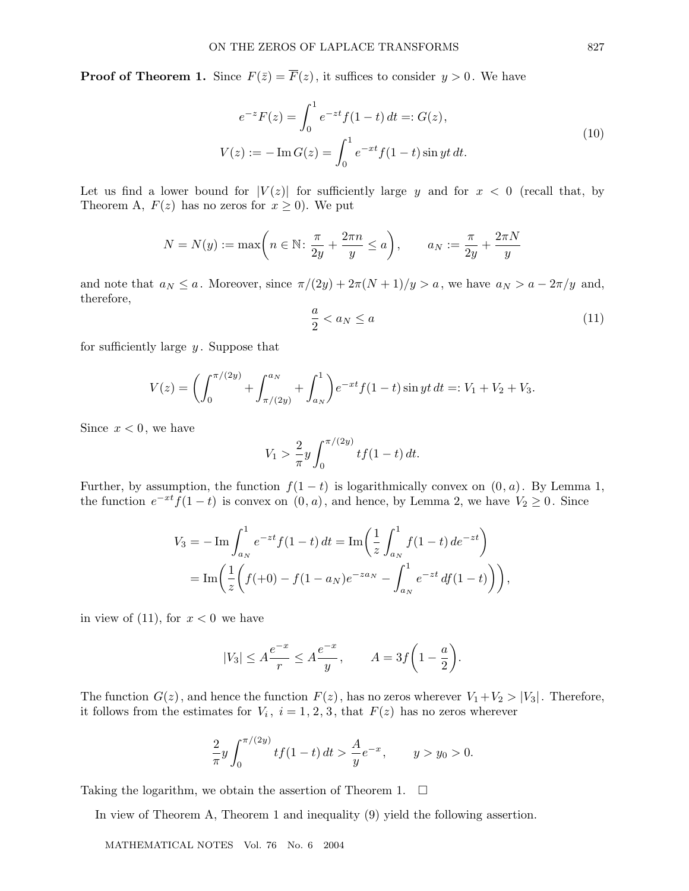**Proof of Theorem 1.** Since  $F(\bar{z}) = \overline{F}(z)$ , it suffices to consider  $y > 0$ . We have

$$
e^{-z}F(z) = \int_0^1 e^{-zt} f(1-t) dt =: G(z),
$$
  
\n
$$
V(z) := -\operatorname{Im} G(z) = \int_0^1 e^{-xt} f(1-t) \sin yt dt.
$$
\n(10)

Let us find a lower bound for  $|V(z)|$  for sufficiently large y and for  $x < 0$  (recall that, by Theorem A,  $F(z)$  has no zeros for  $x \ge 0$ ). We put

$$
N = N(y) := \max\left(n \in \mathbb{N} \colon \frac{\pi}{2y} + \frac{2\pi n}{y} \le a\right), \qquad a_N := \frac{\pi}{2y} + \frac{2\pi N}{y}
$$

and note that  $a_N \le a$ . Moreover, since  $\pi/(2y) + 2\pi(N+1)/y > a$ , we have  $a_N > a - 2\pi/y$  and, therefore,

$$
\frac{a}{2} < a_N \le a \tag{11}
$$

for sufficiently large  $y$ . Suppose that

$$
V(z) = \left(\int_0^{\pi/(2y)} + \int_{\pi/(2y)}^{a_N} + \int_{a_N}^1\right) e^{-xt} f(1-t) \sin yt \, dt =: V_1 + V_2 + V_3.
$$

Since  $x < 0$ , we have

$$
V_1 > \frac{2}{\pi} y \int_0^{\pi/(2y)} t f(1-t) dt.
$$

Further, by assumption, the function  $f(1-t)$  is logarithmically convex on  $(0, a)$ . By Lemma 1, the function  $e^{-xt}f(1-t)$  is convex on  $(0, a)$ , and hence, by Lemma 2, we have  $V_2 \ge 0$ . Since

$$
V_3 = -\operatorname{Im} \int_{a_N}^1 e^{-zt} f(1-t) dt = \operatorname{Im} \left( \frac{1}{z} \int_{a_N}^1 f(1-t) dt^{-zt} \right)
$$
  
= 
$$
\operatorname{Im} \left( \frac{1}{z} \left( f(+0) - f(1-a_N)e^{-za_N} - \int_{a_N}^1 e^{-zt} df(1-t) \right) \right),
$$

in view of (11), for  $x < 0$  we have

$$
|V_3| \le A \frac{e^{-x}}{r} \le A \frac{e^{-x}}{y}, \qquad A = 3f\left(1 - \frac{a}{2}\right).
$$

The function  $G(z)$ , and hence the function  $F(z)$ , has no zeros wherever  $V_1+V_2 > |V_3|$ . Therefore, it follows from the estimates for  $V_i$ ,  $i = 1, 2, 3$ , that  $F(z)$  has no zeros wherever

$$
\frac{2}{\pi}y\int_0^{\pi/(2y)}tf(1-t)\,dt > \frac{A}{y}e^{-x}, \qquad y > y_0 > 0.
$$

Taking the logarithm, we obtain the assertion of Theorem 1.  $\Box$ 

In view of Theorem A, Theorem 1 and inequality (9) yield the following assertion.

MATHEMATICAL NOTES Vol. 76 No. 6 2004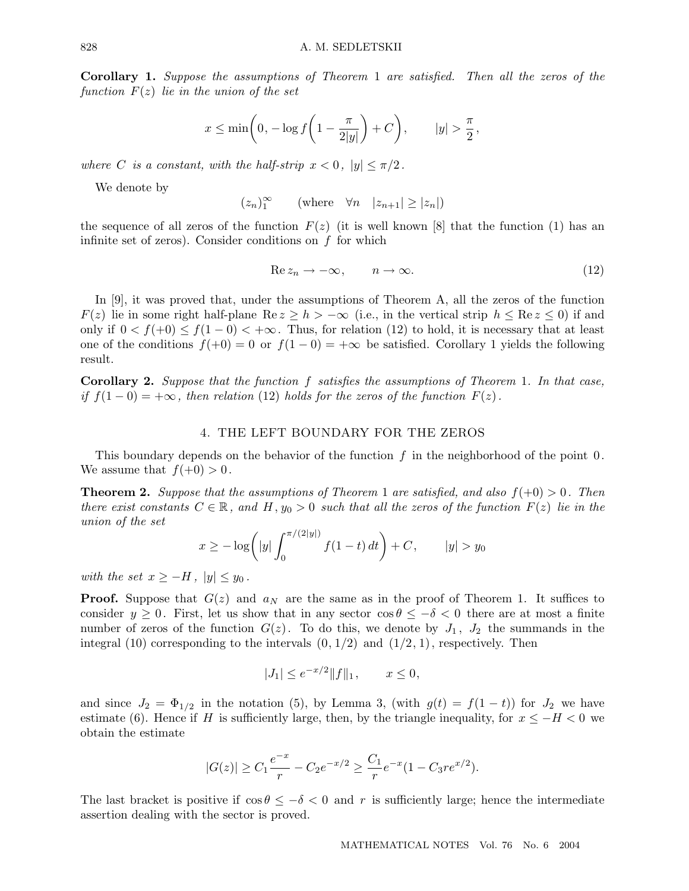**Corollary 1.** *Suppose the assumptions of Theorem* 1 *are satisfied. Then all the zeros of the function* F(z) *lie in the union of the set*

$$
x \le \min\left(0, -\log f\left(1 - \frac{\pi}{2|y|}\right) + C\right), \qquad |y| > \frac{\pi}{2},
$$

*where C is a constant, with the half-strip*  $x < 0$ ,  $|y| \leq \pi/2$ .

We denote by

$$
(z_n)_1^{\infty} \qquad \text{(where} \quad \forall n \quad |z_{n+1}| \ge |z_n|)
$$

the sequence of all zeros of the function  $F(z)$  (it is well known [8] that the function (1) has an infinite set of zeros). Consider conditions on  $f$  for which

$$
\operatorname{Re} z_n \to -\infty, \qquad n \to \infty. \tag{12}
$$

In [9], it was proved that, under the assumptions of Theorem A, all the zeros of the function  $F(z)$  lie in some right half-plane Re  $z \geq h > -\infty$  (i.e., in the vertical strip  $h \leq \text{Re } z \leq 0$ ) if and only if  $0 < f(+0) \le f(1-0) < +\infty$ . Thus, for relation (12) to hold, it is necessary that at least one of the conditions  $f(+0) = 0$  or  $f(1-0) = +\infty$  be satisfied. Corollary 1 yields the following result.

**Corollary 2.** *Suppose that the function* f *satisfies the assumptions of Theorem* 1*. In that case, if*  $f(1-0) = +\infty$ *, then relation* (12) *holds for the zeros of the function*  $F(z)$ *.* 

### 4. THE LEFT BOUNDARY FOR THE ZEROS

This boundary depends on the behavior of the function  $f$  in the neighborhood of the point  $0$ . We assume that  $f(+0) > 0$ .

**Theorem 2.** *Suppose that the assumptions of Theorem* 1 *are satisfied, and also*  $f(+0) > 0$ *. Then there exist constants*  $C \in \mathbb{R}$ , and  $H, y_0 > 0$  *such that all the zeros of the function*  $F(z)$  *lie in the union of the set*

$$
x \ge -\log\left(|y|\int_0^{\pi/(2|y|)} f(1-t) dt\right) + C, \qquad |y| > y_0
$$

*with the set*  $x \geq -H$ ,  $|y| \leq y_0$ .

**Proof.** Suppose that  $G(z)$  and  $a_N$  are the same as in the proof of Theorem 1. It suffices to consider  $y \geq 0$ . First, let us show that in any sector  $\cos \theta \leq -\delta < 0$  there are at most a finite number of zeros of the function  $G(z)$ . To do this, we denote by  $J_1$ ,  $J_2$  the summands in the integral (10) corresponding to the intervals  $(0, 1/2)$  and  $(1/2, 1)$ , respectively. Then

$$
|J_1| \le e^{-x/2} ||f||_1, \qquad x \le 0,
$$

and since  $J_2 = \Phi_{1/2}$  in the notation (5), by Lemma 3, (with  $g(t) = f(1-t)$ ) for  $J_2$  we have estimate (6). Hence if H is sufficiently large, then, by the triangle inequality, for  $x \leq -H < 0$  we obtain the estimate

$$
|G(z)| \ge C_1 \frac{e^{-x}}{r} - C_2 e^{-x/2} \ge \frac{C_1}{r} e^{-x} (1 - C_3 r e^{x/2}).
$$

The last bracket is positive if  $\cos \theta \leq -\delta < 0$  and r is sufficiently large; hence the intermediate assertion dealing with the sector is proved.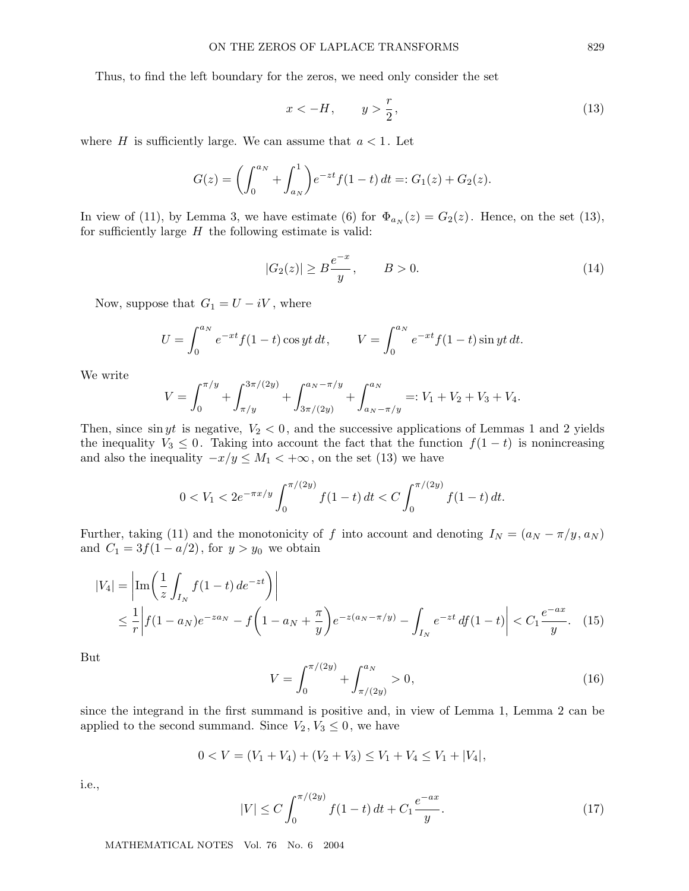Thus, to find the left boundary for the zeros, we need only consider the set

$$
x < -H, \qquad y > \frac{r}{2},\tag{13}
$$

where H is sufficiently large. We can assume that  $a < 1$ . Let

$$
G(z) = \left(\int_0^{a_N} + \int_{a_N}^1\right) e^{-zt} f(1-t) dt =: G_1(z) + G_2(z).
$$

In view of (11), by Lemma 3, we have estimate (6) for  $\Phi_{a_N}(z) = G_2(z)$ . Hence, on the set (13), for sufficiently large  $H$  the following estimate is valid:

$$
|G_2(z)| \ge B \frac{e^{-x}}{y}, \qquad B > 0.
$$
 (14)

Now, suppose that  $G_1 = U - iV$ , where

$$
U = \int_0^{a_N} e^{-xt} f(1-t) \cos yt \, dt, \qquad V = \int_0^{a_N} e^{-xt} f(1-t) \sin yt \, dt.
$$

We write

$$
V = \int_0^{\pi/y} + \int_{\pi/y}^{3\pi/(2y)} + \int_{3\pi/(2y)}^{a_N - \pi/y} + \int_{a_N - \pi/y}^{a_N} =: V_1 + V_2 + V_3 + V_4.
$$

Then, since sin yt is negative,  $V_2 < 0$ , and the successive applications of Lemmas 1 and 2 yields the inequality  $V_3 \leq 0$ . Taking into account the fact that the function  $f(1-t)$  is nonincreasing and also the inequality  $-x/y \le M_1 < +\infty$ , on the set (13) we have

$$
0 < V_1 < 2e^{-\pi x/y} \int_0^{\pi/(2y)} f(1-t) \, dt < C \int_0^{\pi/(2y)} f(1-t) \, dt.
$$

Further, taking (11) and the monotonicity of f into account and denoting  $I_N = (a_N - \pi/y, a_N)$ and  $C_1 = 3f(1 - a/2)$ , for  $y > y_0$  we obtain

$$
|V_4| = \left| \text{Im} \left( \frac{1}{z} \int_{I_N} f(1-t) \, de^{-zt} \right) \right|
$$
  
 
$$
\leq \frac{1}{r} \left| f(1-a_N)e^{-za_N} - f\left(1-a_N + \frac{\pi}{y}\right)e^{-z(a_N - \pi/y)} - \int_{I_N} e^{-zt} \, df(1-t) \right| < C_1 \frac{e^{-ax}}{y}. \tag{15}
$$

But

$$
V = \int_0^{\pi/(2y)} + \int_{\pi/(2y)}^{a_N} > 0,
$$
\n(16)

since the integrand in the first summand is positive and, in view of Lemma 1, Lemma 2 can be applied to the second summand. Since  $V_2, V_3 \leq 0$ , we have

$$
0 < V = (V_1 + V_4) + (V_2 + V_3) \le V_1 + V_4 \le V_1 + |V_4|,
$$

i.e.,

$$
|V| \le C \int_0^{\pi/(2y)} f(1-t) dt + C_1 \frac{e^{-ax}}{y}.
$$
 (17)

MATHEMATICAL NOTES Vol. 76 No. 6 2004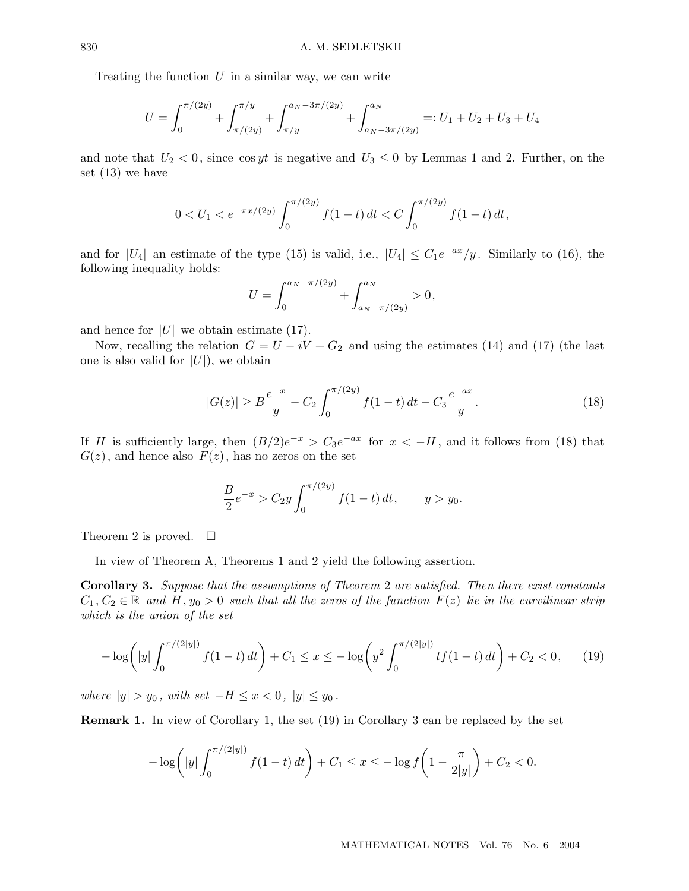Treating the function  $U$  in a similar way, we can write

$$
U = \int_0^{\pi/(2y)} + \int_{\pi/(2y)}^{\pi/y} + \int_{\pi/y}^{a_N - 3\pi/(2y)} + \int_{a_N - 3\pi/(2y)}^{a_N} =: U_1 + U_2 + U_3 + U_4
$$

and note that  $U_2 < 0$ , since cos yt is negative and  $U_3 \leq 0$  by Lemmas 1 and 2. Further, on the set (13) we have

$$
0 < U_1 < e^{-\pi x/(2y)} \int_0^{\pi/(2y)} f(1-t) dt < C \int_0^{\pi/(2y)} f(1-t) dt,
$$

and for  $|U_4|$  an estimate of the type (15) is valid, i.e.,  $|U_4| \leq C_1 e^{-ax}/y$ . Similarly to (16), the following inequality holds:

$$
U = \int_0^{a_N - \pi/(2y)} + \int_{a_N - \pi/(2y)}^{a_N} > 0,
$$

and hence for  $|U|$  we obtain estimate (17).

Now, recalling the relation  $G = U - iV + G_2$  and using the estimates (14) and (17) (the last one is also valid for  $|U|$ , we obtain

$$
|G(z)| \ge B \frac{e^{-x}}{y} - C_2 \int_0^{\pi/(2y)} f(1-t) dt - C_3 \frac{e^{-ax}}{y}.
$$
 (18)

If H is sufficiently large, then  $(B/2)e^{-x} > C_3e^{-ax}$  for  $x < -H$ , and it follows from (18) that  $G(z)$ , and hence also  $F(z)$ , has no zeros on the set

$$
\frac{B}{2}e^{-x} > C_2 y \int_0^{\pi/(2y)} f(1-t) dt, \qquad y > y_0.
$$

Theorem 2 is proved.  $\square$ 

In view of Theorem A, Theorems 1 and 2 yield the following assertion.

**Corollary 3.** *Suppose that the assumptions of Theorem* 2 *are satisfied. Then there exist constants*  $C_1, C_2 \in \mathbb{R}$  and H,  $y_0 > 0$  such that all the zeros of the function  $F(z)$  lie in the curvilinear strip *which is the union of the set*

$$
-\log\left(|y|\int_0^{\pi/(2|y|)} f(1-t) dt\right) + C_1 \le x \le -\log\left(y^2 \int_0^{\pi/(2|y|)} tf(1-t) dt\right) + C_2 < 0,\qquad(19)
$$

*where*  $|y| > y_0$ *, with set*  $-H \leq x < 0$ *,*  $|y| \leq y_0$ *.* 

**Remark 1.** In view of Corollary 1, the set (19) in Corollary 3 can be replaced by the set

$$
-\log\left(|y|\int_0^{\pi/(2|y|)} f(1-t) dt\right) + C_1 \le x \le -\log f\left(1 - \frac{\pi}{2|y|}\right) + C_2 < 0.
$$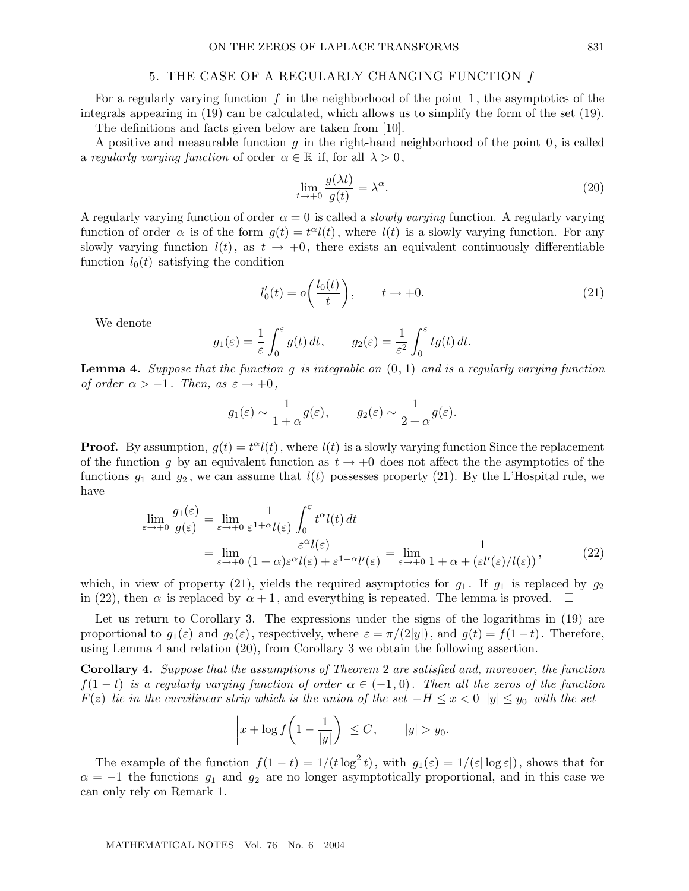#### 5. THE CASE OF A REGULARLY CHANGING FUNCTION f

For a regularly varying function  $f$  in the neighborhood of the point 1, the asymptotics of the integrals appearing in (19) can be calculated, which allows us to simplify the form of the set (19).

The definitions and facts given below are taken from [10].

A positive and measurable function  $g$  in the right-hand neighborhood of the point  $0$ , is called a *regularly varying function* of order  $\alpha \in \mathbb{R}$  if, for all  $\lambda > 0$ ,

$$
\lim_{t \to +0} \frac{g(\lambda t)}{g(t)} = \lambda^{\alpha}.
$$
\n(20)

A regularly varying function of order  $\alpha = 0$  is called a *slowly varying* function. A regularly varying function of order  $\alpha$  is of the form  $g(t) = t^{\alpha}l(t)$ , where  $l(t)$  is a slowly varying function. For any slowly varying function  $l(t)$ , as  $t \to +0$ , there exists an equivalent continuously differentiable function  $l_0(t)$  satisfying the condition

$$
l'_0(t) = o\left(\frac{l_0(t)}{t}\right), \qquad t \to +0. \tag{21}
$$

We denote

$$
g_1(\varepsilon) = \frac{1}{\varepsilon} \int_0^{\varepsilon} g(t) dt
$$
,  $g_2(\varepsilon) = \frac{1}{\varepsilon^2} \int_0^{\varepsilon} tg(t) dt$ .

**Lemma 4.** *Suppose that the function* g *is integrable on* (0, 1) *and is a regularly varying function of order*  $\alpha > -1$ *. Then, as*  $\varepsilon \rightarrow +0$ *,* 

$$
g_1(\varepsilon) \sim \frac{1}{1+\alpha} g(\varepsilon), \qquad g_2(\varepsilon) \sim \frac{1}{2+\alpha} g(\varepsilon).
$$

**Proof.** By assumption,  $g(t) = t^{\alpha}l(t)$ , where  $l(t)$  is a slowly varying function Since the replacement of the function g by an equivalent function as  $t \to +0$  does not affect the the asymptotics of the functions  $g_1$  and  $g_2$ , we can assume that  $l(t)$  possesses property (21). By the L'Hospital rule, we have

$$
\lim_{\varepsilon \to +0} \frac{g_1(\varepsilon)}{g(\varepsilon)} = \lim_{\varepsilon \to +0} \frac{1}{\varepsilon^{1+\alpha} l(\varepsilon)} \int_0^{\varepsilon} t^{\alpha} l(t) dt
$$
\n
$$
= \lim_{\varepsilon \to +0} \frac{\varepsilon^{\alpha} l(\varepsilon)}{(1+\alpha)\varepsilon^{\alpha} l(\varepsilon) + \varepsilon^{1+\alpha} l'(\varepsilon)} = \lim_{\varepsilon \to +0} \frac{1}{1+\alpha + (\varepsilon l'(\varepsilon)/l(\varepsilon))},
$$
\n(22)

which, in view of property (21), yields the required asymptotics for  $q_1$ . If  $q_1$  is replaced by  $q_2$ in (22), then  $\alpha$  is replaced by  $\alpha + 1$ , and everything is repeated. The lemma is proved.  $\square$ 

Let us return to Corollary 3. The expressions under the signs of the logarithms in  $(19)$  are proportional to  $g_1(\varepsilon)$  and  $g_2(\varepsilon)$ , respectively, where  $\varepsilon = \pi/(2|y|)$ , and  $g(t) = f(1-t)$ . Therefore, using Lemma 4 and relation (20), from Corollary 3 we obtain the following assertion.

**Corollary 4.** *Suppose that the assumptions of Theorem* 2 *are satisfied and, moreover, the function*  $f(1-t)$  *is a regularly varying function of order*  $\alpha \in (-1,0)$ *. Then all the zeros of the function*  $F(z)$  *lie in the curvilinear strip which is the union of the set*  $-H \leq x < 0$  |y|  $\leq y_0$  *with the set* 

$$
\left| x + \log f\left(1 - \frac{1}{|y|}\right) \right| \le C, \qquad |y| > y_0.
$$

The example of the function  $f(1-t)=1/(t\log^2 t)$ , with  $g_1(\varepsilon)=1/(\varepsilon|\log \varepsilon|)$ , shows that for  $\alpha = -1$  the functions  $g_1$  and  $g_2$  are no longer asymptotically proportional, and in this case we can only rely on Remark 1.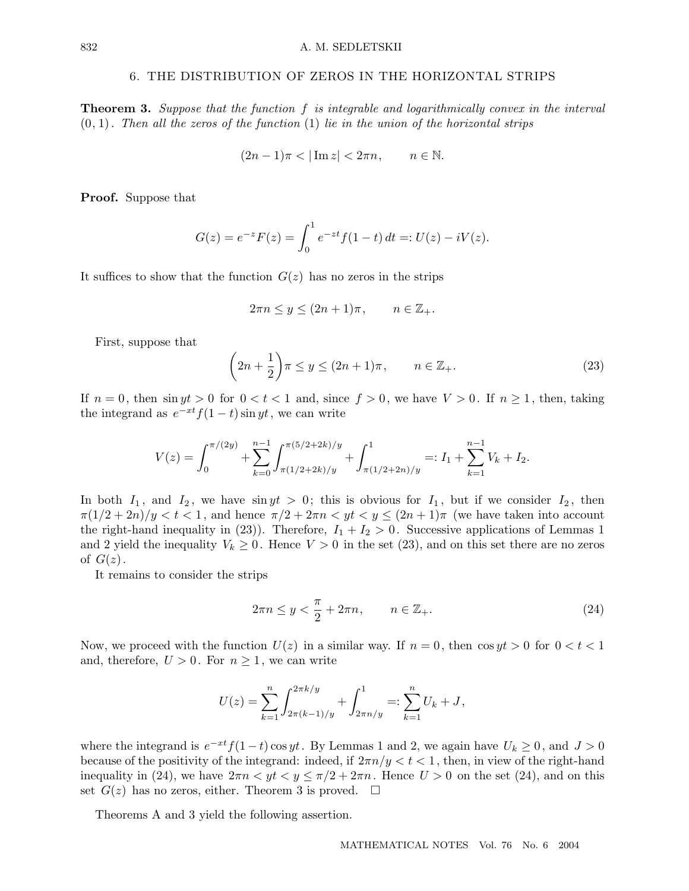#### 6. THE DISTRIBUTION OF ZEROS IN THE HORIZONTAL STRIPS

**Theorem 3.** *Suppose that the function* f *is integrable and logarithmically convex in the interval* (0, 1)*. Then all the zeros of the function* (1) *lie in the union of the horizontal strips*

$$
(2n-1)\pi<|\operatorname{Im} z|<2\pi n,\qquad n\in\mathbb{N}.
$$

**Proof.** Suppose that

$$
G(z) = e^{-z} F(z) = \int_0^1 e^{-zt} f(1-t) dt =: U(z) - iV(z).
$$

It suffices to show that the function  $G(z)$  has no zeros in the strips

$$
2\pi n \le y \le (2n+1)\pi, \qquad n \in \mathbb{Z}_+.
$$

First, suppose that

$$
\left(2n + \frac{1}{2}\right)\pi \le y \le (2n+1)\pi, \qquad n \in \mathbb{Z}_+.
$$
\n(23)

If  $n = 0$ , then  $\sin yt > 0$  for  $0 < t < 1$  and, since  $f > 0$ , we have  $V > 0$ . If  $n \ge 1$ , then, taking the integrand as  $e^{-xt}f(1-t)\sin yt$ , we can write

$$
V(z) = \int_0^{\pi/(2y)} + \sum_{k=0}^{n-1} \int_{\pi(1/2+2k)/y}^{\pi(5/2+2k)/y} + \int_{\pi(1/2+2n)/y}^1 =: I_1 + \sum_{k=1}^{n-1} V_k + I_2.
$$

In both  $I_1$ , and  $I_2$ , we have singt  $> 0$ ; this is obvious for  $I_1$ , but if we consider  $I_2$ , then  $\pi(1/2+2n)/y < t < 1$ , and hence  $\pi/2+2\pi n < yt < y \le (2n+1)\pi$  (we have taken into account the right-hand inequality in (23)). Therefore,  $I_1 + I_2 > 0$ . Successive applications of Lemmas 1 and 2 yield the inequality  $V_k \geq 0$ . Hence  $V > 0$  in the set (23), and on this set there are no zeros of  $G(z)$ .

It remains to consider the strips

$$
2\pi n \le y < \frac{\pi}{2} + 2\pi n, \qquad n \in \mathbb{Z}_+.\tag{24}
$$

Now, we proceed with the function  $U(z)$  in a similar way. If  $n = 0$ , then  $\cos y t > 0$  for  $0 < t < 1$ and, therefore,  $U > 0$ . For  $n \geq 1$ , we can write

$$
U(z) = \sum_{k=1}^{n} \int_{2\pi(k-1)/y}^{2\pi k/y} \int_{2\pi n/y}^{1} dx =: \sum_{k=1}^{n} U_k + J,
$$

where the integrand is  $e^{-xt}f(1-t)\cos yt$ . By Lemmas 1 and 2, we again have  $U_k \ge 0$ , and  $J > 0$ because of the positivity of the integrand: indeed, if  $2\pi n/y < t < 1$ , then, in view of the right-hand inequality in (24), we have  $2\pi n < y t < y \leq \pi/2 + 2\pi n$ . Hence  $U > 0$  on the set (24), and on this set  $G(z)$  has no zeros, either. Theorem 3 is proved.  $\square$ 

Theorems A and 3 yield the following assertion.